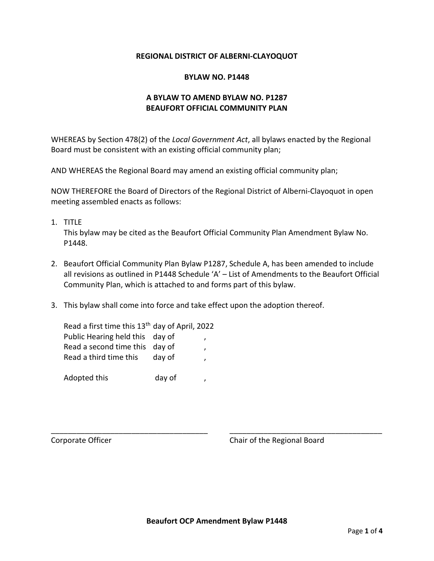### **REGIONAL DISTRICT OF ALBERNI-CLAYOQUOT**

#### **BYLAW NO. P1448**

## **A BYLAW TO AMEND BYLAW NO. P1287 BEAUFORT OFFICIAL COMMUNITY PLAN**

WHEREAS by Section 478(2) of the *Local Government Act*, all bylaws enacted by the Regional Board must be consistent with an existing official community plan;

AND WHEREAS the Regional Board may amend an existing official community plan;

NOW THEREFORE the Board of Directors of the Regional District of Alberni-Clayoquot in open meeting assembled enacts as follows:

1. TITLE

This bylaw may be cited as the Beaufort Official Community Plan Amendment Bylaw No. P1448.

- 2. Beaufort Official Community Plan Bylaw P1287, Schedule A, has been amended to include all revisions as outlined in P1448 Schedule 'A' – List of Amendments to the Beaufort Official Community Plan, which is attached to and forms part of this bylaw.
- 3. This bylaw shall come into force and take effect upon the adoption thereof.

| Read a first time this 13 <sup>th</sup> day of April, 2022 |        |  |
|------------------------------------------------------------|--------|--|
| Public Hearing held this day of                            |        |  |
| Read a second time this day of                             |        |  |
| Read a third time this                                     | day of |  |
|                                                            |        |  |
| Adopted this                                               | day of |  |

Corporate Officer Corporate Officer Corporate Officer Corporate Chair of the Regional Board

\_\_\_\_\_\_\_\_\_\_\_\_\_\_\_\_\_\_\_\_\_\_\_\_\_\_\_\_\_\_\_\_\_\_\_\_\_ \_\_\_\_\_\_\_\_\_\_\_\_\_\_\_\_\_\_\_\_\_\_\_\_\_\_\_\_\_\_\_\_\_\_\_\_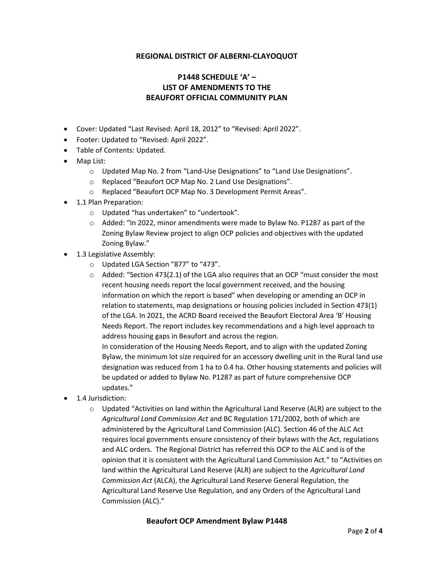### **REGIONAL DISTRICT OF ALBERNI-CLAYOQUOT**

# **P1448 SCHEDULE 'A' – LIST OF AMENDMENTS TO THE BEAUFORT OFFICIAL COMMUNITY PLAN**

- Cover: Updated "Last Revised: April 18, 2012" to "Revised: April 2022".
- Footer: Updated to "Revised: April 2022".
- Table of Contents: Updated.
- Map List:
	- o Updated Map No. 2 from "Land-Use Designations" to "Land Use Designations".
	- o Replaced "Beaufort OCP Map No. 2 Land Use Designations".
	- o Replaced "Beaufort OCP Map No. 3 Development Permit Areas".
- 1.1 Plan Preparation:
	- o Updated "has undertaken" to "undertook".
	- $\circ$  Added: "In 2022, minor amendments were made to Bylaw No. P1287 as part of the Zoning Bylaw Review project to align OCP policies and objectives with the updated Zoning Bylaw."
- 1.3 Legislative Assembly:
	- o Updated LGA Section "877" to "473".
	- $\circ$  Added: "Section 473(2.1) of the LGA also requires that an OCP "must consider the most recent housing needs report the local government received, and the housing information on which the report is based" when developing or amending an OCP in relation to statements, map designations or housing policies included in Section 473(1) of the LGA. In 2021, the ACRD Board received the Beaufort Electoral Area 'B' Housing Needs Report. The report includes key recommendations and a high level approach to address housing gaps in Beaufort and across the region.

In consideration of the Housing Needs Report, and to align with the updated Zoning Bylaw, the minimum lot size required for an accessory dwelling unit in the Rural land use designation was reduced from 1 ha to 0.4 ha. Other housing statements and policies will be updated or added to Bylaw No. P1287 as part of future comprehensive OCP updates."

- 1.4 Jurisdiction:
	- o Updated "Activities on land within the Agricultural Land Reserve (ALR) are subject to the *Agricultural Land Commission Act* and BC Regulation 171/2002, both of which are administered by the Agricultural Land Commission (ALC). Section 46 of the ALC Act requires local governments ensure consistency of their bylaws with the Act, regulations and ALC orders. The Regional District has referred this OCP to the ALC and is of the opinion that it is consistent with the Agricultural Land Commission Act." to "Activities on land within the Agricultural Land Reserve (ALR) are subject to the *Agricultural Land Commission Act* (ALCA), the Agricultural Land Reserve General Regulation, the Agricultural Land Reserve Use Regulation, and any Orders of the Agricultural Land Commission (ALC)."

#### **Beaufort OCP Amendment Bylaw P1448**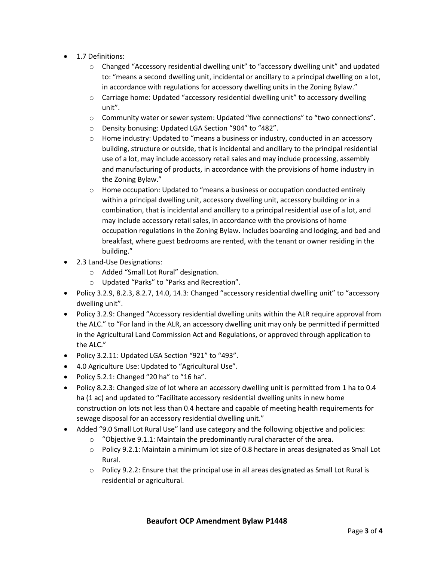- 1.7 Definitions:
	- o Changed "Accessory residential dwelling unit" to "accessory dwelling unit" and updated to: "means a second dwelling unit, incidental or ancillary to a principal dwelling on a lot, in accordance with regulations for accessory dwelling units in the Zoning Bylaw."
	- o Carriage home: Updated "accessory residential dwelling unit" to accessory dwelling unit".
	- o Community water or sewer system: Updated "five connections" to "two connections".
	- o Density bonusing: Updated LGA Section "904" to "482".
	- o Home industry: Updated to "means a business or industry, conducted in an accessory building, structure or outside, that is incidental and ancillary to the principal residential use of a lot, may include accessory retail sales and may include processing, assembly and manufacturing of products, in accordance with the provisions of home industry in the Zoning Bylaw."
	- $\circ$  Home occupation: Updated to "means a business or occupation conducted entirely within a principal dwelling unit, accessory dwelling unit, accessory building or in a combination, that is incidental and ancillary to a principal residential use of a lot, and may include accessory retail sales, in accordance with the provisions of home occupation regulations in the Zoning Bylaw. Includes boarding and lodging, and bed and breakfast, where guest bedrooms are rented, with the tenant or owner residing in the building."
- 2.3 Land-Use Designations:
	- o Added "Small Lot Rural" designation.
	- o Updated "Parks" to "Parks and Recreation".
- Policy 3.2.9, 8.2.3, 8.2.7, 14.0, 14.3: Changed "accessory residential dwelling unit" to "accessory dwelling unit".
- Policy 3.2.9: Changed "Accessory residential dwelling units within the ALR require approval from the ALC." to "For land in the ALR, an accessory dwelling unit may only be permitted if permitted in the Agricultural Land Commission Act and Regulations, or approved through application to the ALC."
- Policy 3.2.11: Updated LGA Section "921" to "493".
- 4.0 Agriculture Use: Updated to "Agricultural Use".
- Policy 5.2.1: Changed "20 ha" to "16 ha".
- Policy 8.2.3: Changed size of lot where an accessory dwelling unit is permitted from 1 ha to 0.4 ha (1 ac) and updated to "Facilitate accessory residential dwelling units in new home construction on lots not less than 0.4 hectare and capable of meeting health requirements for sewage disposal for an accessory residential dwelling unit."
- Added "9.0 Small Lot Rural Use" land use category and the following objective and policies:
	- o "Objective 9.1.1: Maintain the predominantly rural character of the area.
	- o Policy 9.2.1: Maintain a minimum lot size of 0.8 hectare in areas designated as Small Lot Rural.
	- o Policy 9.2.2: Ensure that the principal use in all areas designated as Small Lot Rural is residential or agricultural.